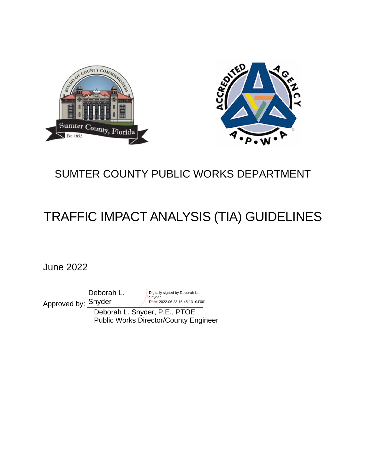



## SUMTER COUNTY PUBLIC WORKS DEPARTMENT

# TRAFFIC IMPACT ANALYSIS (TIA) GUIDELINES

June 2022

Deborah L.

Approved by: Snyder Digitally signed by Deborah L. Snyder Date: 2022.06.23 15:45:13 -04'00'

 Deborah L. Snyder, P.E., PTOE Public Works Director/County Engineer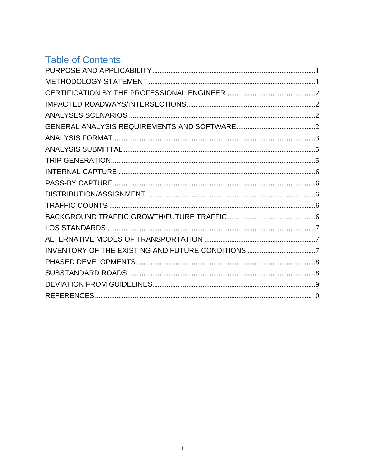## **Table of Contents**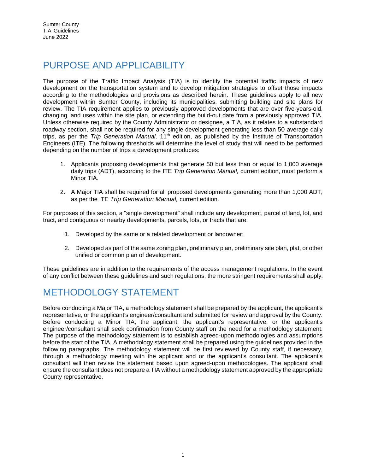## PURPOSE AND APPLICABILITY

The purpose of the Traffic Impact Analysis (TIA) is to identify the potential traffic impacts of new development on the transportation system and to develop mitigation strategies to offset those impacts according to the methodologies and provisions as described herein. These guidelines apply to all new development within Sumter County, including its municipalities, submitting building and site plans for review. The TIA requirement applies to previously approved developments that are over five-years-old, changing land uses within the site plan, or extending the build-out date from a previously approved TIA. Unless otherwise required by the County Administrator or designee, a TIA, as it relates to a substandard roadway section, shall not be required for any single development generating less than 50 average daily trips, as per the *Trip Generation Manual,* 11th edition, as published by the Institute of Transportation Engineers (ITE). The following thresholds will determine the level of study that will need to be performed depending on the number of trips a development produces:

- 1. Applicants proposing developments that generate 50 but less than or equal to 1,000 average daily trips (ADT), according to the ITE *Trip Generation Manual,* current edition, must perform a Minor TIA.
- 2. A Major TIA shall be required for all proposed developments generating more than 1,000 ADT, as per the ITE *Trip Generation Manual,* current edition.

For purposes of this section, a "single development" shall include any development, parcel of land, lot, and tract, and contiguous or nearby developments, parcels, lots, or tracts that are:

- 1. Developed by the same or a related development or landowner;
- 2. Developed as part of the same zoning plan, preliminary plan, preliminary site plan, plat, or other unified or common plan of development.

These guidelines are in addition to the requirements of the access management regulations. In the event of any conflict between these guidelines and such regulations, the more stringent requirements shall apply.

## METHODOLOGY STATEMENT

Before conducting a Major TIA, a methodology statement shall be prepared by the applicant, the applicant's representative, or the applicant's engineer/consultant and submitted for review and approval by the County. Before conducting a Minor TIA, the applicant, the applicant's representative, or the applicant's engineer/consultant shall seek confirmation from County staff on the need for a methodology statement. The purpose of the methodology statement is to establish agreed-upon methodologies and assumptions before the start of the TIA. A methodology statement shall be prepared using the guidelines provided in the following paragraphs. The methodology statement will be first reviewed by County staff, if necessary, through a methodology meeting with the applicant and or the applicant's consultant. The applicant's consultant will then revise the statement based upon agreed-upon methodologies. The applicant shall ensure the consultant does not prepare a TIA without a methodology statement approved by the appropriate County representative.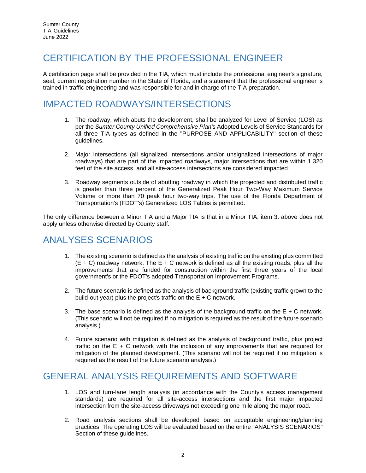#### CERTIFICATION BY THE PROFESSIONAL ENGINEER

A certification page shall be provided in the TIA, which must include the professional engineer's signature, seal, current registration number in the State of Florida, and a statement that the professional engineer is trained in traffic engineering and was responsible for and in charge of the TIA preparation.

#### IMPACTED ROADWAYS/INTERSECTIONS

- 1. The roadway, which abuts the development, shall be analyzed for Level of Service (LOS) as per the *Sumter County Unified Comprehensive Plan'*s Adopted Levels of Service Standards for all three TIA types as defined in the "PURPOSE AND APPLICABILITY" section of these guidelines.
- 2. Major intersections (all signalized intersections and/or unsignalized intersections of major roadways) that are part of the impacted roadways, major intersections that are within 1,320 feet of the site access, and all site-access intersections are considered impacted.
- 3. Roadway segments outside of abutting roadway in which the projected and distributed traffic is greater than three percent of the Generalized Peak Hour Two-Way Maximum Service Volume or more than 70 peak hour two-way trips. The use of the Florida Department of Transportation's (FDOT's) Generalized LOS Tables is permitted.

The only difference between a Minor TIA and a Major TIA is that in a Minor TIA, item 3. above does not apply unless otherwise directed by County staff.

## ANALYSES SCENARIOS

- 1. The existing scenario is defined as the analysis of existing traffic on the existing plus committed  $(E + C)$  roadway network. The  $E + C$  network is defined as all the existing roads, plus all the improvements that are funded for construction within the first three years of the local government's or the FDOT's adopted Transportation Improvement Programs.
- 2. The future scenario is defined as the analysis of background traffic (existing traffic grown to the build-out year) plus the project's traffic on the  $E + C$  network.
- 3. The base scenario is defined as the analysis of the background traffic on the  $E + C$  network. (This scenario will not be required if no mitigation is required as the result of the future scenario analysis.)
- 4. Future scenario with mitigation is defined as the analysis of background traffic, plus project traffic on the  $E + C$  network with the inclusion of any improvements that are required for mitigation of the planned development. (This scenario will not be required if no mitigation is required as the result of the future scenario analysis.)

#### GENERAL ANALYSIS REQUIREMENTS AND SOFTWARE

- 1. LOS and turn-lane length analysis (in accordance with the County's access management standards) are required for all site-access intersections and the first major impacted intersection from the site-access driveways not exceeding one mile along the major road.
- 2. Road analysis sections shall be developed based on acceptable engineering/planning practices. The operating LOS will be evaluated based on the entire "ANALYSIS SCENARIOS" Section of these guidelines.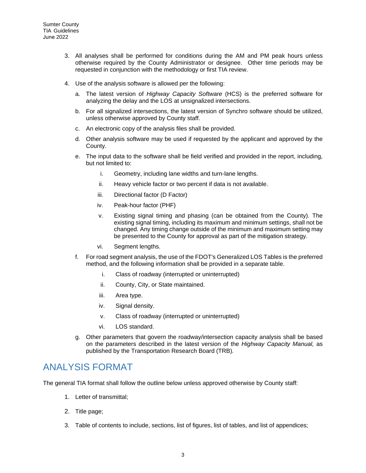- 3. All analyses shall be performed for conditions during the AM and PM peak hours unless otherwise required by the County Administrator or designee. Other time periods may be requested in conjunction with the methodology or first TIA review.
- 4. Use of the analysis software is allowed per the following:
	- a. The latest version of *Highway Capacity Software* (HCS) is the preferred software for analyzing the delay and the LOS at unsignalized intersections.
	- b. For all signalized intersections, the latest version of Synchro software should be utilized, unless otherwise approved by County staff.
	- c. An electronic copy of the analysis files shall be provided.
	- d. Other analysis software may be used if requested by the applicant and approved by the County.
	- e. The input data to the software shall be field verified and provided in the report, including, but not limited to:
		- i. Geometry, including lane widths and turn-lane lengths.
		- ii. Heavy vehicle factor or two percent if data is not available.
		- iii. Directional factor (D Factor)
		- iv. Peak-hour factor (PHF)
		- v. Existing signal timing and phasing (can be obtained from the County). The existing signal timing, including its maximum and minimum settings, shall not be changed. Any timing change outside of the minimum and maximum setting may be presented to the County for approval as part of the mitigation strategy.
		- vi. Segment lengths.
	- f. For road segment analysis, the use of the FDOT's Generalized LOS Tables is the preferred method, and the following information shall be provided in a separate table.
		- i. Class of roadway (interrupted or uninterrupted)
		- ii. County, City, or State maintained.
		- iii. Area type.
		- iv. Signal density.
		- v. Class of roadway (interrupted or uninterrupted)
		- vi. LOS standard.
	- g. Other parameters that govern the roadway/intersection capacity analysis shall be based on the parameters described in the latest version of the *Highway Capacity Manual,* as published by the Transportation Research Board (TRB)*.*

#### ANALYSIS FORMAT

The general TIA format shall follow the outline below unless approved otherwise by County staff:

- 1. Letter of transmittal;
- 2. Title page;
- 3. Table of contents to include, sections, list of figures, list of tables, and list of appendices;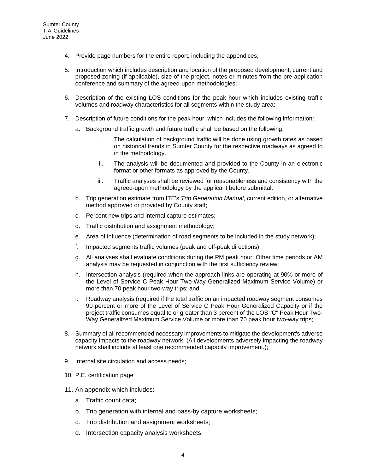- 4. Provide page numbers for the entire report, including the appendices;
- 5. Introduction which includes description and location of the proposed development, current and proposed zoning (if applicable), size of the project, notes or minutes from the pre-application conference and summary of the agreed-upon methodologies;
- 6. Description of the existing LOS conditions for the peak hour which includes existing traffic volumes and roadway characteristics for all segments within the study area;
- 7. Description of future conditions for the peak hour, which includes the following information:
	- a. Background traffic growth and future traffic shall be based on the following:
		- i. The calculation of background traffic will be done using growth rates as based on historical trends in Sumter County for the respective roadways as agreed to in the methodology.
		- ii. The analysis will be documented and provided to the County in an electronic format or other formats as approved by the County.
		- iii. Traffic analyses shall be reviewed for reasonableness and consistency with the agreed-upon methodology by the applicant before submittal.
	- b. Trip generation estimate from ITE's *Trip Generation Manual*, current edition, or alternative method approved or provided by County staff;
	- c. Percent new trips and internal capture estimates;
	- d. Traffic distribution and assignment methodology;
	- e. Area of influence (determination of road segments to be included in the study network);
	- f. Impacted segments traffic volumes (peak and off-peak directions);
	- g. All analyses shall evaluate conditions during the PM peak hour. Other time periods or AM analysis may be requested in conjunction with the first sufficiency review;
	- h. Intersection analysis (required when the approach links are operating at 90% or more of the Level of Service C Peak Hour Two-Way Generalized Maximum Service Volume) or more than 70 peak hour two-way trips; and
	- i. Roadway analysis (required if the total traffic on an impacted roadway segment consumes 90 percent or more of the Level of Service C Peak Hour Generalized Capacity or if the project traffic consumes equal to or greater than 3 percent of the LOS "C" Peak Hour Two-Way Generalized Maximum Service Volume or more than 70 peak hour two-way trips;
- 8. Summary of all recommended necessary improvements to mitigate the development's adverse capacity impacts to the roadway network. (All developments adversely impacting the roadway network shall include at least one recommended capacity improvement.);
- 9. Internal site circulation and access needs;
- 10. P.E. certification page
- 11. An appendix which includes:
	- a. Traffic count data;
	- b. Trip generation with internal and pass-by capture worksheets;
	- c. Trip distribution and assignment worksheets;
	- d. Intersection capacity analysis worksheets;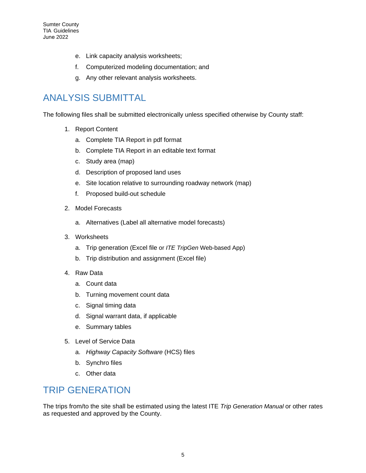- e. Link capacity analysis worksheets;
- f. Computerized modeling documentation; and
- g. Any other relevant analysis worksheets.

## ANALYSIS SUBMITTAL

The following files shall be submitted electronically unless specified otherwise by County staff:

- 1. Report Content
	- a. Complete TIA Report in pdf format
	- b. Complete TIA Report in an editable text format
	- c. Study area (map)
	- d. Description of proposed land uses
	- e. Site location relative to surrounding roadway network (map)
	- f. Proposed build-out schedule
- 2. Model Forecasts
	- a. Alternatives (Label all alternative model forecasts)
- 3. Worksheets
	- a. Trip generation (Excel file or *ITE TripGen* Web-based App)
	- b. Trip distribution and assignment (Excel file)
- 4. Raw Data
	- a. Count data
	- b. Turning movement count data
	- c. Signal timing data
	- d. Signal warrant data, if applicable
	- e. Summary tables
- 5. Level of Service Data
	- a. *Highway Capacity Software* (HCS) files
	- b. Synchro files
	- c. Other data

#### TRIP GENERATION

The trips from/to the site shall be estimated using the latest ITE *Trip Generation Manual* or other rates as requested and approved by the County.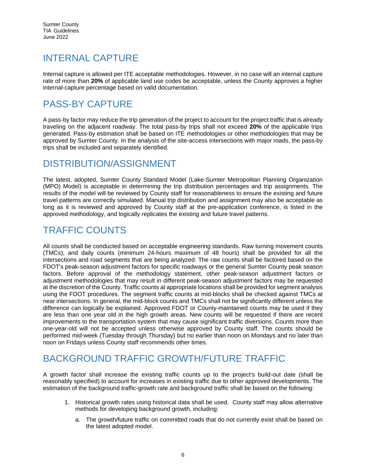## INTERNAL CAPTURE

Internal capture is allowed per ITE acceptable methodologies. However, in no case will an internal capture rate of more than **20%** of applicable land use codes be acceptable, unless the County approves a higher internal-capture percentage based on valid documentation.

## PASS-BY CAPTURE

A pass-by factor may reduce the trip generation of the project to account for the project traffic that is already traveling on the adjacent roadway. The total pass-by trips shall not exceed **20%** of the applicable trips generated. Pass-by estimation shall be based on ITE methodologies or other methodologies that may be approved by Sumter County. In the analysis of the site-access intersections with major roads, the pass-by trips shall be included and separately identified.

#### DISTRIBUTION/ASSIGNMENT

The latest, adopted, Sumter County Standard Model (Lake-Sumter Metropolitan Planning Organization (MPO) Model) is acceptable in determining the trip distribution percentages and trip assignments. The results of the model will be reviewed by County staff for reasonableness to ensure the existing and future travel patterns are correctly simulated. Manual trip distribution and assignment may also be acceptable as long as it is reviewed and approved by County staff at the pre-application conference, is listed in the approved methodology, and logically replicates the existing and future travel patterns.

#### TRAFFIC COUNTS

All counts shall be conducted based on acceptable engineering standards. Raw turning movement counts (TMCs), and daily counts (minimum 24-hours maximum of 48 hours) shall be provided for all the intersections and road segments that are being analyzed. The raw counts shall be factored based on the FDOT's peak-season adjustment factors for specific roadways or the general Sumter County peak season factors. Before approval of the methodology statement, other peak-season adjustment factors or adjustment methodologies that may result in different peak-season adjustment factors may be requested at the discretion of the County. Traffic counts at appropriate locations shall be provided for segment analysis using the FDOT procedures. The segment traffic counts at mid-blocks shall be checked against TMCs at near intersections. In general, the mid-block counts and TMCs shall not be significantly different unless the difference can logically be explained. Approved FDOT or County-maintained counts may be used if they are less than one year old in the high growth areas. New counts will be requested if there are recent improvements to the transportation system that may cause significant traffic diversions. Counts more than one-year-old will not be accepted unless otherwise approved by County staff. The counts should be performed mid-week (Tuesday through Thursday) but no earlier than noon on Mondays and no later than noon on Fridays unless County staff recommends other times.

## BACKGROUND TRAFFIC GROWTH/FUTURE TRAFFIC

A growth factor shall increase the existing traffic counts up to the project's build-out date (shall be reasonably specified) to account for increases in existing traffic due to other approved developments. The estimation of the background traffic-growth rate and background traffic shall be based on the following:

- 1. Historical growth rates using historical data shall be used. County staff may allow alternative methods for developing background growth, including:
	- a. The growth/future traffic on committed roads that do not currently exist shall be based on the latest adopted model.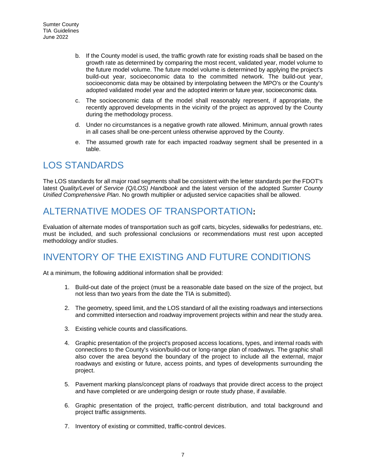- b. If the County model is used, the traffic growth rate for existing roads shall be based on the growth rate as determined by comparing the most recent, validated year, model volume to the future model volume. The future model volume is determined by applying the project's build-out year, socioeconomic data to the committed network. The build-out year, socioeconomic data may be obtained by interpolating between the MPO's or the County's adopted validated model year and the adopted interim or future year, socioeconomic data.
- c. The socioeconomic data of the model shall reasonably represent, if appropriate, the recently approved developments in the vicinity of the project as approved by the County during the methodology process.
- d. Under no circumstances is a negative growth rate allowed. Minimum, annual growth rates in all cases shall be one-percent unless otherwise approved by the County.
- e. The assumed growth rate for each impacted roadway segment shall be presented in a table.

## LOS STANDARDS

The LOS standards for all major road segments shall be consistent with the letter standards per the FDOT's latest *Quality/Level of Service (Q/LOS) Handbook* and the latest version of the adopted *Sumter County Unified Comprehensive Plan*. No growth multiplier or adjusted service capacities shall be allowed.

## ALTERNATIVE MODES OF TRANSPORTATION**:**

Evaluation of alternate modes of transportation such as golf carts, bicycles, sidewalks for pedestrians, etc. must be included, and such professional conclusions or recommendations must rest upon accepted methodology and/or studies.

## INVENTORY OF THE EXISTING AND FUTURE CONDITIONS

At a minimum, the following additional information shall be provided:

- 1. Build-out date of the project (must be a reasonable date based on the size of the project, but not less than two years from the date the TIA is submitted).
- 2. The geometry, speed limit, and the LOS standard of all the existing roadways and intersections and committed intersection and roadway improvement projects within and near the study area.
- 3. Existing vehicle counts and classifications.
- 4. Graphic presentation of the project's proposed access locations, types, and internal roads with connections to the County's vision/build-out or long-range plan of roadways. The graphic shall also cover the area beyond the boundary of the project to include all the external, major roadways and existing or future, access points, and types of developments surrounding the project.
- 5. Pavement marking plans/concept plans of roadways that provide direct access to the project and have completed or are undergoing design or route study phase, if available.
- 6. Graphic presentation of the project, traffic-percent distribution, and total background and project traffic assignments.
- 7. Inventory of existing or committed, traffic-control devices.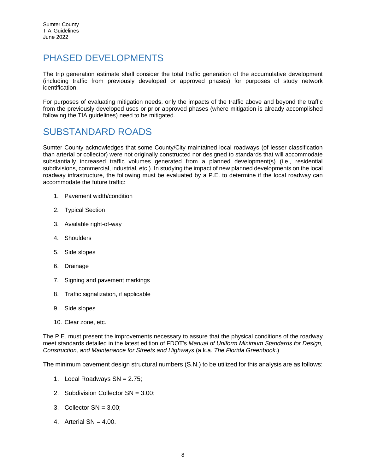#### PHASED DEVELOPMENTS

The trip generation estimate shall consider the total traffic generation of the accumulative development (including traffic from previously developed or approved phases) for purposes of study network identification.

For purposes of evaluating mitigation needs, only the impacts of the traffic above and beyond the traffic from the previously developed uses or prior approved phases (where mitigation is already accomplished following the TIA guidelines) need to be mitigated.

#### SUBSTANDARD ROADS

Sumter County acknowledges that some County/City maintained local roadways (of lesser classification than arterial or collector) were not originally constructed nor designed to standards that will accommodate substantially increased traffic volumes generated from a planned development(s) (i.e., residential subdivisions, commercial, industrial, etc.). In studying the impact of new planned developments on the local roadway infrastructure, the following must be evaluated by a P.E. to determine if the local roadway can accommodate the future traffic:

- 1. Pavement width/condition
- 2. Typical Section
- 3. Available right-of-way
- 4. Shoulders
- 5. Side slopes
- 6. Drainage
- 7. Signing and pavement markings
- 8. Traffic signalization, if applicable
- 9. Side slopes
- 10. Clear zone, etc.

The P.E. must present the improvements necessary to assure that the physical conditions of the roadway meet standards detailed in the latest edition of FDOT's *Manual of Uniform Minimum Standards for Design, Construction, and Maintenance for Streets and Highways* (a.k.a. *The Florida Greenbook*.)

The minimum pavement design structural numbers (S.N.) to be utilized for this analysis are as follows:

- 1. Local Roadways SN = 2.75;
- 2. Subdivision Collector SN = 3.00;
- 3. Collector SN = 3.00;
- 4. Arterial  $SN = 4.00$ .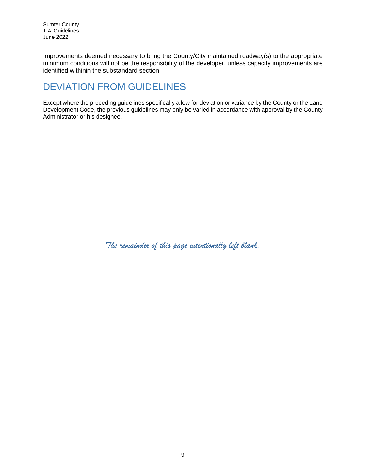Improvements deemed necessary to bring the County/City maintained roadway(s) to the appropriate minimum conditions will not be the responsibility of the developer, unless capacity improvements are identified withinin the substandard section.

## DEVIATION FROM GUIDELINES

Except where the preceding guidelines specifically allow for deviation or variance by the County or the Land Development Code, the previous guidelines may only be varied in accordance with approval by the County Administrator or his designee.

*The remainder of this page intentionally left blank.*